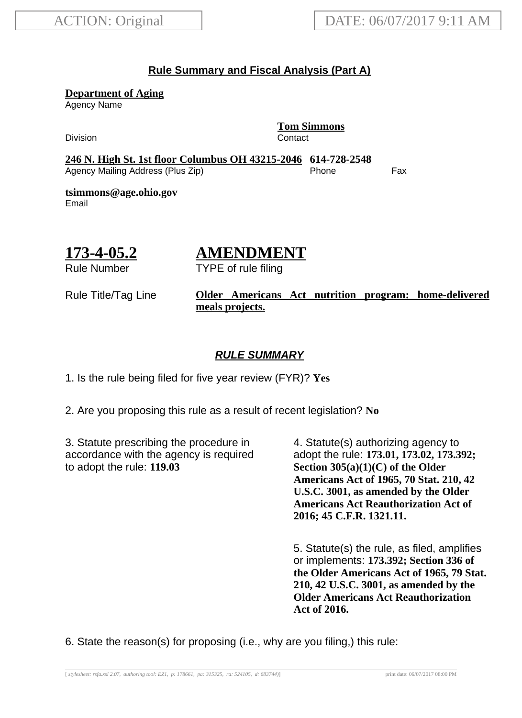#### **Rule Summary and Fiscal Analysis (Part A)**

**Department of Aging**

Agency Name

Division **Contact** 

**Tom Simmons**

**246 N. High St. 1st floor Columbus OH 43215-2046 614-728-2548** Agency Mailing Address (Plus Zip) entitled the Separate Control of the Fax

**tsimmons@age.ohio.gov** Email

# **173-4-05.2**

# **AMENDMENT**

TYPE of rule filing

Rule Number

#### Rule Title/Tag Line **Older Americans Act nutrition program: home-delivered meals projects.**

### **RULE SUMMARY**

1. Is the rule being filed for five year review (FYR)? **Yes**

2. Are you proposing this rule as a result of recent legislation? **No**

3. Statute prescribing the procedure in accordance with the agency is required to adopt the rule: **119.03**

4. Statute(s) authorizing agency to adopt the rule: **173.01, 173.02, 173.392; Section 305(a)(1)(C) of the Older Americans Act of 1965, 70 Stat. 210, 42 U.S.C. 3001, as amended by the Older Americans Act Reauthorization Act of 2016; 45 C.F.R. 1321.11.**

5. Statute(s) the rule, as filed, amplifies or implements: **173.392; Section 336 of the Older Americans Act of 1965, 79 Stat. 210, 42 U.S.C. 3001, as amended by the Older Americans Act Reauthorization Act of 2016.**

6. State the reason(s) for proposing (i.e., why are you filing,) this rule: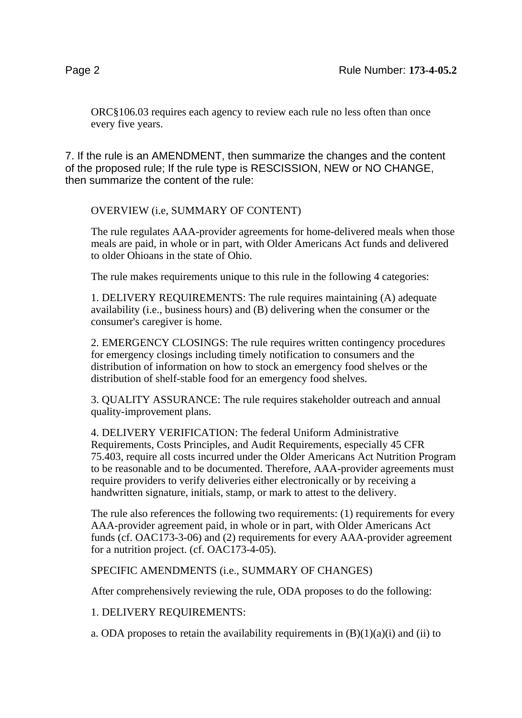ORC§106.03 requires each agency to review each rule no less often than once every five years.

7. If the rule is an AMENDMENT, then summarize the changes and the content of the proposed rule; If the rule type is RESCISSION, NEW or NO CHANGE, then summarize the content of the rule:

OVERVIEW (i.e, SUMMARY OF CONTENT)

The rule regulates AAA-provider agreements for home-delivered meals when those meals are paid, in whole or in part, with Older Americans Act funds and delivered to older Ohioans in the state of Ohio.

The rule makes requirements unique to this rule in the following 4 categories:

1. DELIVERY REQUIREMENTS: The rule requires maintaining (A) adequate availability (i.e., business hours) and (B) delivering when the consumer or the consumer's caregiver is home.

2. EMERGENCY CLOSINGS: The rule requires written contingency procedures for emergency closings including timely notification to consumers and the distribution of information on how to stock an emergency food shelves or the distribution of shelf-stable food for an emergency food shelves.

3. QUALITY ASSURANCE: The rule requires stakeholder outreach and annual quality-improvement plans.

4. DELIVERY VERIFICATION: The federal Uniform Administrative Requirements, Costs Principles, and Audit Requirements, especially 45 CFR 75.403, require all costs incurred under the Older Americans Act Nutrition Program to be reasonable and to be documented. Therefore, AAA-provider agreements must require providers to verify deliveries either electronically or by receiving a handwritten signature, initials, stamp, or mark to attest to the delivery.

The rule also references the following two requirements: (1) requirements for every AAA-provider agreement paid, in whole or in part, with Older Americans Act funds (cf. OAC173-3-06) and (2) requirements for every AAA-provider agreement for a nutrition project. (cf. OAC173-4-05).

SPECIFIC AMENDMENTS (i.e., SUMMARY OF CHANGES)

After comprehensively reviewing the rule, ODA proposes to do the following:

1. DELIVERY REQUIREMENTS:

a. ODA proposes to retain the availability requirements in  $(B)(1)(a)(i)$  and (ii) to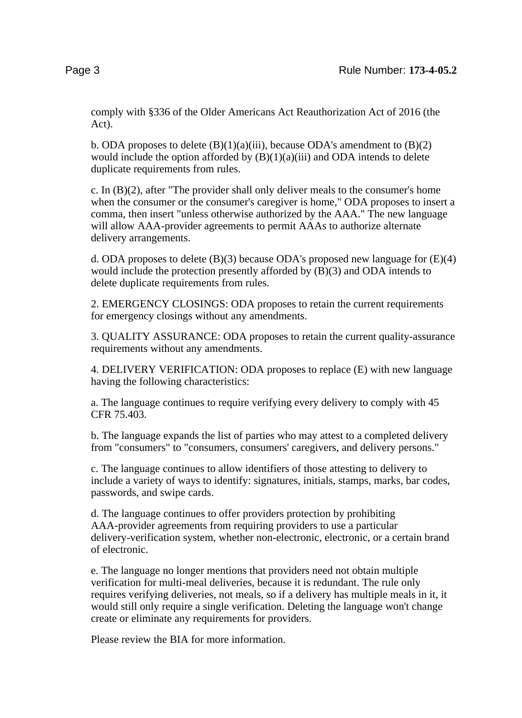comply with §336 of the Older Americans Act Reauthorization Act of 2016 (the Act).

b. ODA proposes to delete  $(B)(1)(a)(iii)$ , because ODA's amendment to  $(B)(2)$ would include the option afforded by  $(B)(1)(a)(iii)$  and ODA intends to delete duplicate requirements from rules.

c. In (B)(2), after "The provider shall only deliver meals to the consumer's home when the consumer or the consumer's caregiver is home," ODA proposes to insert a comma, then insert "unless otherwise authorized by the AAA." The new language will allow AAA-provider agreements to permit AAAs to authorize alternate delivery arrangements.

d. ODA proposes to delete  $(B)(3)$  because ODA's proposed new language for  $(E)(4)$ would include the protection presently afforded by (B)(3) and ODA intends to delete duplicate requirements from rules.

2. EMERGENCY CLOSINGS: ODA proposes to retain the current requirements for emergency closings without any amendments.

3. QUALITY ASSURANCE: ODA proposes to retain the current quality-assurance requirements without any amendments.

4. DELIVERY VERIFICATION: ODA proposes to replace (E) with new language having the following characteristics:

a. The language continues to require verifying every delivery to comply with 45 CFR 75.403.

b. The language expands the list of parties who may attest to a completed delivery from "consumers" to "consumers, consumers' caregivers, and delivery persons."

c. The language continues to allow identifiers of those attesting to delivery to include a variety of ways to identify: signatures, initials, stamps, marks, bar codes, passwords, and swipe cards.

d. The language continues to offer providers protection by prohibiting AAA-provider agreements from requiring providers to use a particular delivery-verification system, whether non-electronic, electronic, or a certain brand of electronic.

e. The language no longer mentions that providers need not obtain multiple verification for multi-meal deliveries, because it is redundant. The rule only requires verifying deliveries, not meals, so if a delivery has multiple meals in it, it would still only require a single verification. Deleting the language won't change create or eliminate any requirements for providers.

Please review the BIA for more information.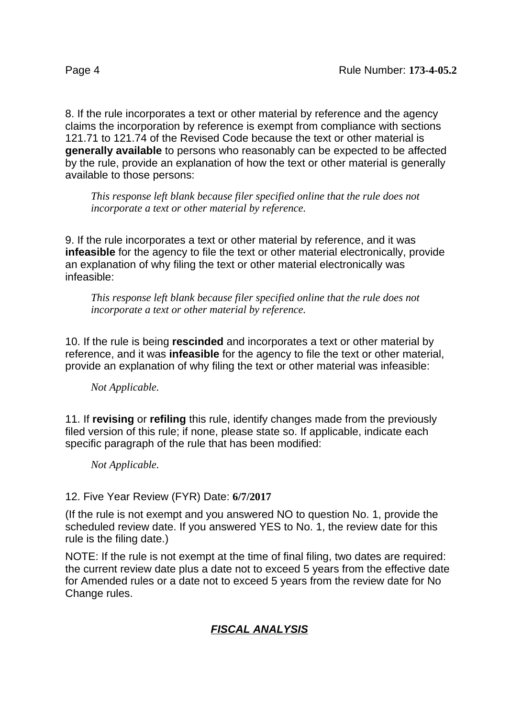8. If the rule incorporates a text or other material by reference and the agency claims the incorporation by reference is exempt from compliance with sections 121.71 to 121.74 of the Revised Code because the text or other material is **generally available** to persons who reasonably can be expected to be affected by the rule, provide an explanation of how the text or other material is generally available to those persons:

*This response left blank because filer specified online that the rule does not incorporate a text or other material by reference.*

9. If the rule incorporates a text or other material by reference, and it was **infeasible** for the agency to file the text or other material electronically, provide an explanation of why filing the text or other material electronically was infeasible:

*This response left blank because filer specified online that the rule does not incorporate a text or other material by reference.*

10. If the rule is being **rescinded** and incorporates a text or other material by reference, and it was **infeasible** for the agency to file the text or other material, provide an explanation of why filing the text or other material was infeasible:

*Not Applicable.*

11. If **revising** or **refiling** this rule, identify changes made from the previously filed version of this rule; if none, please state so. If applicable, indicate each specific paragraph of the rule that has been modified:

*Not Applicable.*

#### 12. Five Year Review (FYR) Date: **6/7/2017**

(If the rule is not exempt and you answered NO to question No. 1, provide the scheduled review date. If you answered YES to No. 1, the review date for this rule is the filing date.)

NOTE: If the rule is not exempt at the time of final filing, two dates are required: the current review date plus a date not to exceed 5 years from the effective date for Amended rules or a date not to exceed 5 years from the review date for No Change rules.

## **FISCAL ANALYSIS**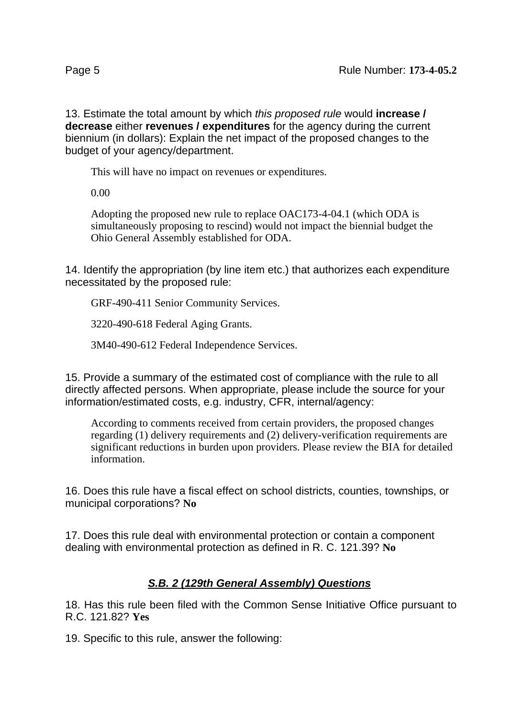13. Estimate the total amount by which this proposed rule would **increase / decrease** either **revenues / expenditures** for the agency during the current biennium (in dollars): Explain the net impact of the proposed changes to the budget of your agency/department.

This will have no impact on revenues or expenditures.

0.00

Adopting the proposed new rule to replace OAC173-4-04.1 (which ODA is simultaneously proposing to rescind) would not impact the biennial budget the Ohio General Assembly established for ODA.

14. Identify the appropriation (by line item etc.) that authorizes each expenditure necessitated by the proposed rule:

GRF-490-411 Senior Community Services.

3220-490-618 Federal Aging Grants.

3M40-490-612 Federal Independence Services.

15. Provide a summary of the estimated cost of compliance with the rule to all directly affected persons. When appropriate, please include the source for your information/estimated costs, e.g. industry, CFR, internal/agency:

According to comments received from certain providers, the proposed changes regarding (1) delivery requirements and (2) delivery-verification requirements are significant reductions in burden upon providers. Please review the BIA for detailed information.

16. Does this rule have a fiscal effect on school districts, counties, townships, or municipal corporations? **No**

17. Does this rule deal with environmental protection or contain a component dealing with environmental protection as defined in R. C. 121.39? **No**

## **S.B. 2 (129th General Assembly) Questions**

18. Has this rule been filed with the Common Sense Initiative Office pursuant to R.C. 121.82? **Yes**

19. Specific to this rule, answer the following: